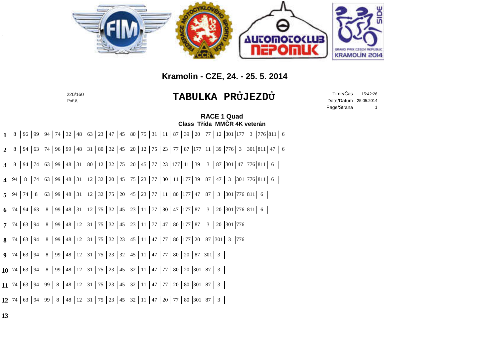

## **Kramolin - CZE, 24. - 25. 5. 2014**

|                                                   | 220/160<br>Poř.č.                                                                                                                     |                                                    | TABULKA PRŮJEZDŮ                   | Time/Čas<br>15:42:26<br>Date/Datum 25.05.2014<br>Page/Strana |  |
|---------------------------------------------------|---------------------------------------------------------------------------------------------------------------------------------------|----------------------------------------------------|------------------------------------|--------------------------------------------------------------|--|
| <b>RACE 1 Quad</b><br>Class Třída MMČR 4K veterán |                                                                                                                                       |                                                    |                                    |                                                              |  |
|                                                   | 74<br>32<br> 63 23 <br>$1 \quad 8$<br>96   99  <br>94<br>48                                                                           | 47   45   80   75   31   11   87   39   20<br>  77 | 12 301 177<br>3   776   811  <br>6 |                                                              |  |
|                                                   | 94   63   74   96   99   48   31   80   32   45   20   12   75   23   77   87  177   11   39  776   3  301  811   47   6  <br>$2^{8}$ |                                                    |                                    |                                                              |  |
|                                                   | $\mid$ 94<br>$3 \quad 8$                                                                                                              |                                                    |                                    |                                                              |  |
|                                                   | 8   74   63   99   48   31   12   32   20   45   75   23   77   80   11   177   39   87   47   3   301   776   811   6<br>4 94        |                                                    |                                    |                                                              |  |
|                                                   | 5 94 74 8 63 99 48 31 12 32 75 20 45 23 77 11 80 177 47 87 3 301 776 811 6                                                            |                                                    |                                    |                                                              |  |
|                                                   | 6 74 94 63 8 99 48 31 12 75 32 45 23 11 77 80 47 177 87 3 20 301 776 811 6                                                            |                                                    |                                    |                                                              |  |
|                                                   | 63   94   8   99   48   12   31   75   32   45   23   11   77   47   80   177   87   3   20   301   776  <br>$7^{74}$                 |                                                    |                                    |                                                              |  |
|                                                   | 63   94   8   99   48   12   31   75   32   23   45   11   47   77   80  177   20   87  301   3  776  <br>8 74                        |                                                    |                                    |                                                              |  |
|                                                   | <b>9</b> 74 63 94 8 99 48 12 31 75 23 32 45 11 47 77 80 20 87 301 3                                                                   |                                                    |                                    |                                                              |  |
|                                                   | 10 74 63 94 8 99 48 12 31 75 23 45 32 11 47 77 80 20 301 87 3                                                                         |                                                    |                                    |                                                              |  |
|                                                   | 11 74 63 94 99 8 48 12 31 75 23 45 32 11 47 77 20 80 301 87 3                                                                         |                                                    |                                    |                                                              |  |
|                                                   | <b>12</b> 74 63 94 99 8 48 12 31 75 23 45 32 11 47 20 77 80 301 87 3                                                                  |                                                    |                                    |                                                              |  |
| 13                                                |                                                                                                                                       |                                                    |                                    |                                                              |  |